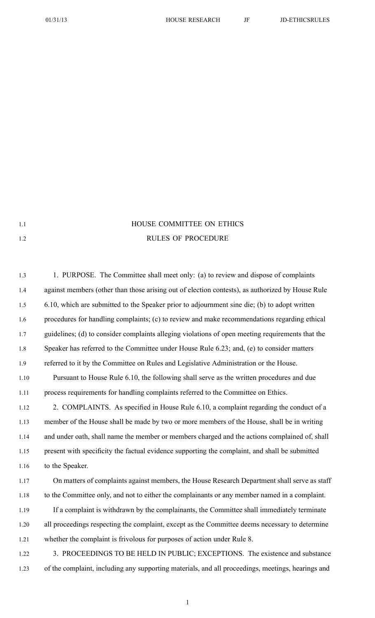## 1.1 **HOUSE COMMITTEE ON ETHICS** 1.2 RULES OF PROCEDURE

| 1.3  | 1. PURPOSE. The Committee shall meet only: (a) to review and dispose of complaints                |
|------|---------------------------------------------------------------------------------------------------|
| 1.4  | against members (other than those arising out of election contests), as authorized by House Rule  |
| 1.5  | 6.10, which are submitted to the Speaker prior to adjournment sine die; (b) to adopt written      |
| 1.6  | procedures for handling complaints; (c) to review and make recommendations regarding ethical      |
| 1.7  | guidelines; (d) to consider complaints alleging violations of open meeting requirements that the  |
| 1.8  | Speaker has referred to the Committee under House Rule 6.23; and, (e) to consider matters         |
| 1.9  | referred to it by the Committee on Rules and Legislative Administration or the House.             |
| 1.10 | Pursuant to House Rule 6.10, the following shall serve as the written procedures and due          |
| 1.11 | process requirements for handling complaints referred to the Committee on Ethics.                 |
| 1.12 | 2. COMPLAINTS. As specified in House Rule 6.10, a complaint regarding the conduct of a            |
| 1.13 | member of the House shall be made by two or more members of the House, shall be in writing        |
| 1.14 | and under oath, shall name the member or members charged and the actions complained of, shall     |
| 1.15 | present with specificity the factual evidence supporting the complaint, and shall be submitted    |
| 1.16 | to the Speaker.                                                                                   |
| 1.17 | On matters of complaints against members, the House Research Department shall serve as staff      |
| 1.18 | to the Committee only, and not to either the complainants or any member named in a complaint.     |
| 1.19 | If a complaint is withdrawn by the complainants, the Committee shall immediately terminate        |
| 1.20 | all proceedings respecting the complaint, except as the Committee deems necessary to determine    |
| 1.21 | whether the complaint is frivolous for purposes of action under Rule 8.                           |
| 1.22 | 3. PROCEEDINGS TO BE HELD IN PUBLIC; EXCEPTIONS. The existence and substance                      |
| 1.23 | of the complaint, including any supporting materials, and all proceedings, meetings, hearings and |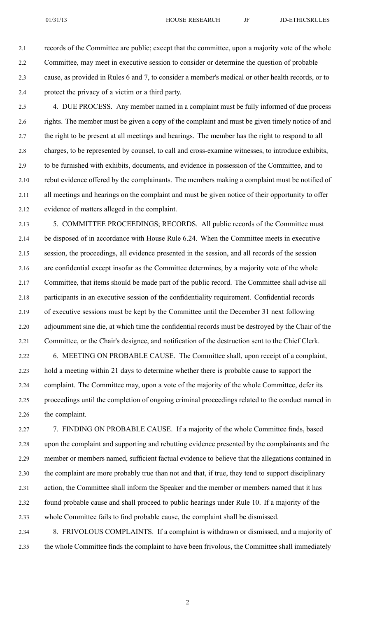2.1 records of the Committee are public; excep<sup>t</sup> that the committee, upon <sup>a</sup> majority vote of the whole 2.2 Committee, may meet in executive session to consider or determine the question of probable 2.3 cause, as provided in Rules 6 and 7, to consider <sup>a</sup> member's medical or other health records, or to 2.4 protect the privacy of <sup>a</sup> victim or <sup>a</sup> third party.

2.5 4. DUE PROCESS. Any member named in <sup>a</sup> complaint must be fully informed of due process 2.6 rights. The member must be given <sup>a</sup> copy of the complaint and must be given timely notice of and 2.7 the right to be presen<sup>t</sup> at all meetings and hearings. The member has the right to respond to all 2.8 charges, to be represented by counsel, to call and cross-examine witnesses, to introduce exhibits, 2.9 to be furnished with exhibits, documents, and evidence in possession of the Committee, and to 2.10 rebut evidence offered by the complainants. The members making <sup>a</sup> complaint must be notified of 2.11 all meetings and hearings on the complaint and must be given notice of their opportunity to offer 2.12 evidence of matters alleged in the complaint.

2.13 5. COMMITTEE PROCEEDINGS; RECORDS. All public records of the Committee must 2.14 be disposed of in accordance with House Rule 6.24. When the Committee meets in executive 2.15 session, the proceedings, all evidence presented in the session, and all records of the session 2.16 are confidential excep<sup>t</sup> insofar as the Committee determines, by <sup>a</sup> majority vote of the whole 2.17 Committee, that items should be made par<sup>t</sup> of the public record. The Committee shall advise all 2.18 participants in an executive session of the confidentiality requirement. Confidential records 2.19 of executive sessions must be kept by the Committee until the December 31 next following 2.20 adjournment sine die, at which time the confidential records must be destroyed by the Chair of the 2.21 Committee, or the Chair's designee, and notification of the destruction sent to the Chief Clerk.

2.22 6. MEETING ON PROBABLE CAUSE. The Committee shall, upon receipt of <sup>a</sup> complaint, 2.23 hold <sup>a</sup> meeting within 21 days to determine whether there is probable cause to suppor<sup>t</sup> the 2.24 complaint. The Committee may, upon <sup>a</sup> vote of the majority of the whole Committee, defer its 2.25 proceedings until the completion of ongoing criminal proceedings related to the conduct named in 2.26 the complaint.

2.27 7. FINDING ON PROBABLE CAUSE. If <sup>a</sup> majority of the whole Committee finds, based 2.28 upon the complaint and supporting and rebutting evidence presented by the complainants and the 2.29 member or members named, sufficient factual evidence to believe that the allegations contained in 2.30 the complaint are more probably true than not and that, if true, they tend to suppor<sup>t</sup> disciplinary 2.31 action, the Committee shall inform the Speaker and the member or members named that it has 2.32 found probable cause and shall proceed to public hearings under Rule 10. If <sup>a</sup> majority of the 2.33 whole Committee fails to find probable cause, the complaint shall be dismissed. 2.34 8. FRIVOLOUS COMPLAINTS. If <sup>a</sup> complaint is withdrawn or dismissed, and <sup>a</sup> majority of

2.35 the whole Committee finds the complaint to have been frivolous, the Committee shall immediately

2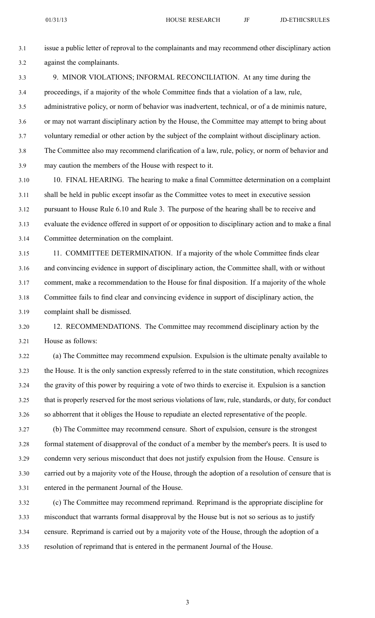3.1 issue <sup>a</sup> public letter of reproval to the complainants and may recommend other disciplinary action 3.2 against the complainants.

- 3.3 9. MINOR VIOLATIONS; INFORMAL RECONCILIATION. At any time during the 3.4 proceedings, if <sup>a</sup> majority of the whole Committee finds that <sup>a</sup> violation of <sup>a</sup> law, rule, 3.5 administrative policy, or norm of behavior was inadvertent, technical, or of <sup>a</sup> de minimis nature, 3.6 or may not warrant disciplinary action by the House, the Committee may attempt to bring about 3.7 voluntary remedial or other action by the subject of the complaint without disciplinary action. 3.8 The Committee also may recommend clarification of <sup>a</sup> law, rule, policy, or norm of behavior and 3.9 may caution the members of the House with respec<sup>t</sup> to it.
- 3.10 10. FINAL HEARING. The hearing to make <sup>a</sup> final Committee determination on <sup>a</sup> complaint 3.11 shall be held in public excep<sup>t</sup> insofar as the Committee votes to meet in executive session 3.12 pursuan<sup>t</sup> to House Rule 6.10 and Rule 3. The purpose of the hearing shall be to receive and 3.13 evaluate the evidence offered in suppor<sup>t</sup> of or opposition to disciplinary action and to make <sup>a</sup> final 3.14 Committee determination on the complaint.
- 3.15 11. COMMITTEE DETERMINATION. If <sup>a</sup> majority of the whole Committee finds clear 3.16 and convincing evidence in suppor<sup>t</sup> of disciplinary action, the Committee shall, with or without 3.17 comment, make <sup>a</sup> recommendation to the House for final disposition. If <sup>a</sup> majority of the whole 3.18 Committee fails to find clear and convincing evidence in suppor<sup>t</sup> of disciplinary action, the 3.19 complaint shall be dismissed.
- 3.20 12. RECOMMENDATIONS. The Committee may recommend disciplinary action by the 3.21 House as follows:
- 3.22 (a) The Committee may recommend expulsion. Expulsion is the ultimate penalty available to 3.23 the House. It is the only sanction expressly referred to in the state constitution, which recognizes 3.24 the gravity of this power by requiring <sup>a</sup> vote of two thirds to exercise it. Expulsion is <sup>a</sup> sanction 3.25 that is properly reserved for the most serious violations of law, rule, standards, or duty, for conduct 3.26 so abhorrent that it obliges the House to repudiate an elected representative of the people.
- 3.27 (b) The Committee may recommend censure. Short of expulsion, censure is the strongest 3.28 formal statement of disapproval of the conduct of <sup>a</sup> member by the member's peers. It is used to 3.29 condemn very serious misconduct that does not justify expulsion from the House. Censure is 3.30 carried out by <sup>a</sup> majority vote of the House, through the adoption of <sup>a</sup> resolution of censure that is 3.31 entered in the permanen<sup>t</sup> Journal of the House.
- 3.32 (c) The Committee may recommend reprimand. Reprimand is the appropriate discipline for 3.33 misconduct that warrants formal disapproval by the House but is not so serious as to justify 3.34 censure. Reprimand is carried out by <sup>a</sup> majority vote of the House, through the adoption of <sup>a</sup> 3.35 resolution of reprimand that is entered in the permanen<sup>t</sup> Journal of the House.

3